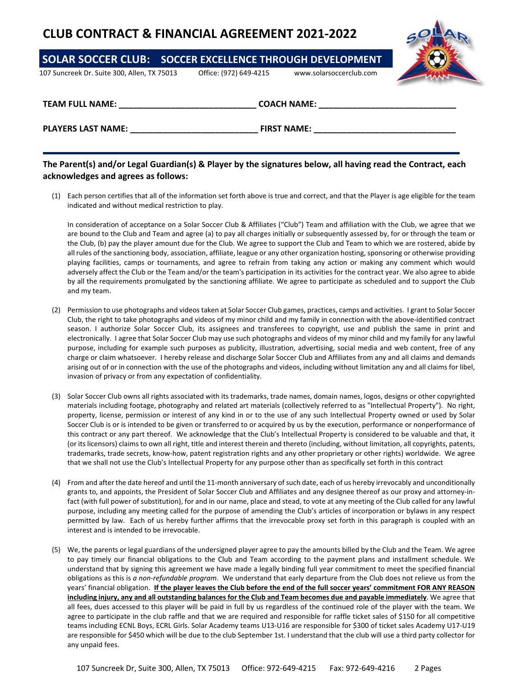## **CLUB CONTRACT & FINANCIAL AGREEMENT 2021‐2022**

| <b>SOLAR SOCCER CLUB: SOCCER EXCELLENCE THROUGH DEVELOPMENT</b> |                        |                         |
|-----------------------------------------------------------------|------------------------|-------------------------|
| 107 Suncreek Dr. Suite 300, Allen, TX 75013                     | Office: (972) 649-4215 | www.solarsoccerclub.com |
| <b>TEAM FULL NAME:</b>                                          |                        | <b>COACH NAME:</b>      |
| <b>PLAYERS LAST NAME:</b>                                       | <b>FIRST NAME:</b>     |                         |

The Parent(s) and/or Legal Guardian(s) & Player by the signatures below, all having read the Contract, each **acknowledges and agrees as follows:**

(1) Each person certifies that all of the information set forth above is true and correct, and that the Player is age eligible for the team indicated and without medical restriction to play.

In consideration of acceptance on a Solar Soccer Club & Affiliates ("Club") Team and affiliation with the Club, we agree that we are bound to the Club and Team and agree (a) to pay all charges initially or subsequently assessed by, for or through the team or the Club, (b) pay the player amount due for the Club. We agree to support the Club and Team to which we are rostered, abide by all rules of the sanctioning body, association, affiliate, league or any other organization hosting, sponsoring or otherwise providing playing facilities, camps or tournaments, and agree to refrain from taking any action or making any comment which would adversely affect the Club or the Team and/or the team's participation in its activities for the contract year. We also agree to abide by all the requirements promulgated by the sanctioning affiliate. We agree to participate as scheduled and to support the Club and my team.

- (2) Permission to use photographs and videostaken at Solar Soccer Club games, practices, camps and activities. I grant to Solar Soccer Club, the right to take photographs and videos of my minor child and my family in connection with the above‐identified contract season. I authorize Solar Soccer Club, its assignees and transferees to copyright, use and publish the same in print and electronically. I agree that Solar Soccer Club may use such photographs and videos of my minor child and my family for any lawful purpose, including for example such purposes as publicity, illustration, advertising, social media and web content, free of any charge or claim whatsoever. I hereby release and discharge Solar Soccer Club and Affiliates from any and all claims and demands arising out of or in connection with the use of the photographs and videos, including without limitation any and all claims for libel, invasion of privacy or from any expectation of confidentiality.
- (3) Solar Soccer Club owns all rights associated with its trademarks, trade names, domain names, logos, designs or other copyrighted materials including footage, photography and related art materials (collectively referred to as "Intellectual Property"). No right, property, license, permission or interest of any kind in or to the use of any such Intellectual Property owned or used by Solar Soccer Club is or is intended to be given or transferred to or acquired by us by the execution, performance or nonperformance of this contract or any part thereof. We acknowledge that the Club's Intellectual Property is considered to be valuable and that, it (or its licensors) claims to own all right, title and interest therein and thereto (including, without limitation, all copyrights, patents, trademarks, trade secrets, know‐how, patent registration rights and any other proprietary or other rights) worldwide. We agree that we shall not use the Club's Intellectual Property for any purpose other than as specifically set forth in this contract
- (4) From and after the date hereof and until the 11‐month anniversary ofsuch date, each of us hereby irrevocably and unconditionally grants to, and appoints, the President of Solar Soccer Club and Affiliates and any designee thereof as our proxy and attorney-infact (with full power of substitution), for and in our name, place and stead, to vote at any meeting of the Club called for any lawful purpose, including any meeting called for the purpose of amending the Club's articles of incorporation or bylaws in any respect permitted by law. Each of us hereby further affirms that the irrevocable proxy set forth in this paragraph is coupled with an interest and is intended to be irrevocable.
- (5) We, the parents or legal guardians of the undersigned player agree to pay the amounts billed by the Club and the Team. We agree to pay timely our financial obligations to the Club and Team according to the payment plans and installment schedule. We understand that by signing this agreement we have made a legally binding full year commitment to meet the specified financial obligations as this is *a non‐refundable program*. We understand that early departure from the Club does not relieve us from the years' financial obligation. If the player leaves the Club before the end of the full soccer years' commitment FOR ANY REASON including injury, any and all outstanding balances for the Club and Team becomes due and payable immediately. We agree that all fees, dues accessed to this player will be paid in full by us regardless of the continued role of the player with the team. We agree to participate in the club raffle and that we are required and responsible for raffle ticket sales of \$150 for all competitive teams including ECNL Boys, ECRL Girls. Solar Academy teams U13‐U16 are responsible for \$300 of ticket sales Academy U17‐U19 are responsible for \$450 which will be due to the club September 1st. I understand that the club will use a third party collector for any unpaid fees.